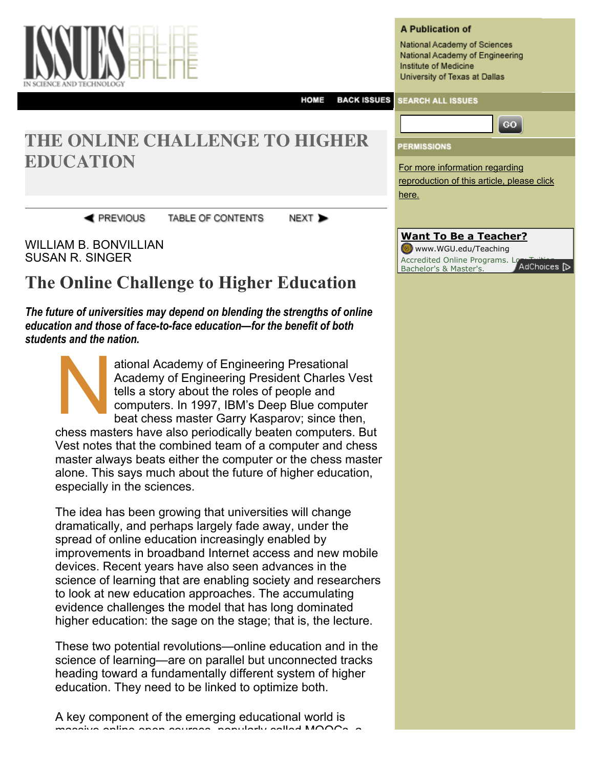

#### **A Publication of**

National Academy of Sciences National Academy of Engineering Institute of Medicine University of Texas at Dallas

For more information regarding

[reproduction of this article, please click](http://www.issues.org/29.4/william.html#)

GO.

#### **BACK ISSUES HOME SEARCH ALL ISSUES**

here.

**PERMISSIONS** 

# **THE ONLINE CHALLENGE TO HIGHER EDUCATION**

**REVIOUS** 

TABLE OF CONTENTS

NEXT<sub>></sub>

WILLIAM B. BONVILLIAN SUSAN R. SINGER

# **The Online Challenge to Higher Education**

*The future of universities may depend on blending the strengths of online education and those of face-to-face education—for the benefit of both students and the nation.*

N ational Academy of Engineering Presational Academy of Engineering President Charles Vest tells a story about the roles of people and computers. In 1997, IBM's Deep Blue computer beat chess master Garry Kasparov; since then, chess masters have also periodically beaten computers. But Vest notes that the combined team of a computer and chess master always beats either the computer or the chess master alone. This says much about the future of higher education, especially in the sciences.

The idea has been growing that universities will change dramatically, and perhaps largely fade away, under the spread of online education increasingly enabled by improvements in broadband Internet access and new mobile devices. Recent years have also seen advances in the science of learning that are enabling society and researchers to look at new education approaches. The accumulating evidence challenges the model that has long dominated higher education: the sage on the stage; that is, the lecture.

These two potential revolutions—online education and in the science of learning—are on parallel but unconnected tracks heading toward a fundamentally different system of higher education. They need to be linked to optimize both.

A key component of the emerging educational world is massive online open courses, popularly called MOOCs, a

| <b>Want To Be a Teacher?</b>             |
|------------------------------------------|
| www.WGU.edu/Teaching                     |
| Accredited Online Programs. Lo AdChoices |
| Bachelor's & Master's.                   |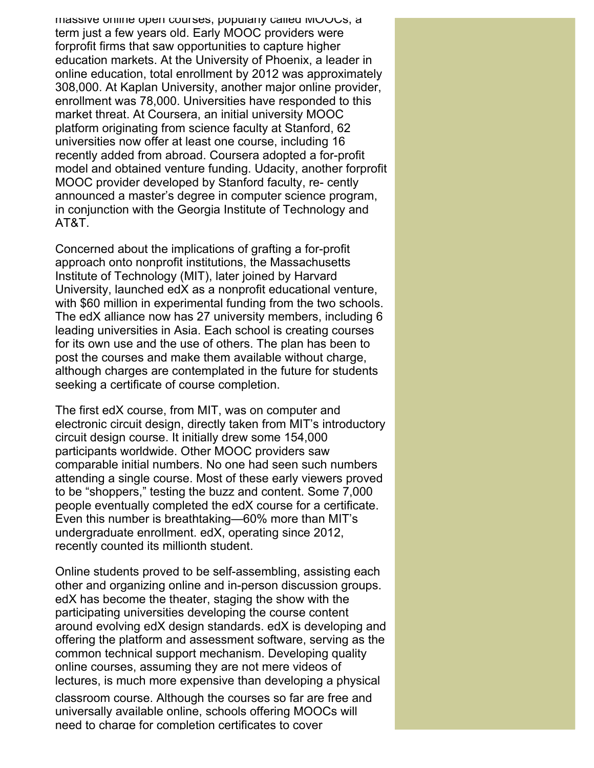massive online open courses, popularly called MOOCs, a term just a few years old. Early MOOC providers were forprofit firms that saw opportunities to capture higher education markets. At the University of Phoenix, a leader in online education, total enrollment by 2012 was approximately 308,000. At Kaplan University, another major online provider, enrollment was 78,000. Universities have responded to this market threat. At Coursera, an initial university MOOC platform originating from science faculty at Stanford, 62 universities now offer at least one course, including 16 recently added from abroad. Coursera adopted a for-profit model and obtained venture funding. Udacity, another forprofit MOOC provider developed by Stanford faculty, re- cently announced a master's degree in computer science program, in conjunction with the Georgia Institute of Technology and AT&T.

Concerned about the implications of grafting a for-profit approach onto nonprofit institutions, the Massachusetts Institute of Technology (MIT), later joined by Harvard University, launched edX as a nonprofit educational venture, with \$60 million in experimental funding from the two schools. The edX alliance now has 27 university members, including 6 leading universities in Asia. Each school is creating courses for its own use and the use of others. The plan has been to post the courses and make them available without charge, although charges are contemplated in the future for students seeking a certificate of course completion.

The first edX course, from MIT, was on computer and electronic circuit design, directly taken from MIT's introductory circuit design course. It initially drew some 154,000 participants worldwide. Other MOOC providers saw comparable initial numbers. No one had seen such numbers attending a single course. Most of these early viewers proved to be "shoppers," testing the buzz and content. Some 7,000 people eventually completed the edX course for a certificate. Even this number is breathtaking—60% more than MIT's undergraduate enrollment. edX, operating since 2012, recently counted its millionth student.

Online students proved to be self-assembling, assisting each other and organizing online and in-person discussion groups. edX has become the theater, staging the show with the participating universities developing the course content around evolving edX design standards. edX is developing and offering the platform and assessment software, serving as the common technical support mechanism. Developing quality online courses, assuming they are not mere videos of lectures, is much more expensive than developing a physical

classroom course. Although the courses so far are free and universally available online, schools offering MOOCs will need to charge for completion certificates to cover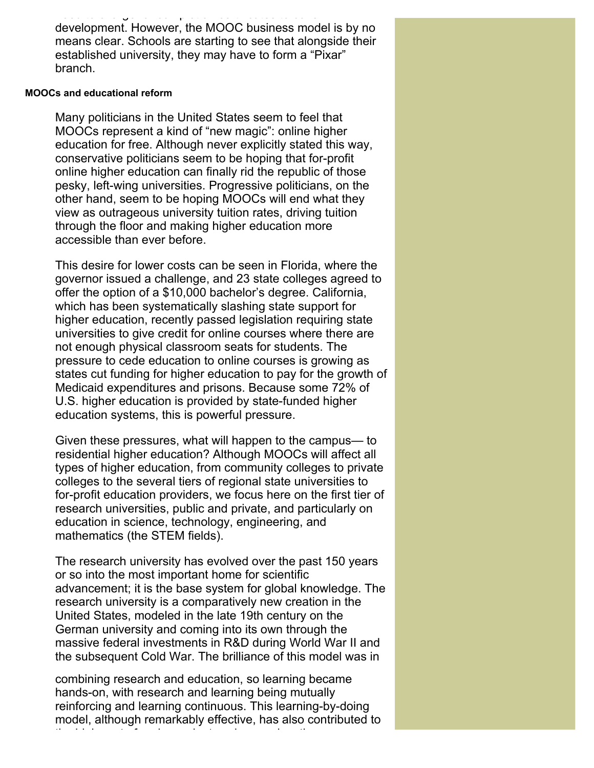need to charge for completion certificates to cover to cover development. However, the MOOC business model is by no means clear. Schools are starting to see that alongside their established university, they may have to form a "Pixar" branch.

### **MOOCs and educational reform**

Many politicians in the United States seem to feel that MOOCs represent a kind of "new magic": online higher education for free. Although never explicitly stated this way, conservative politicians seem to be hoping that for-profit online higher education can finally rid the republic of those pesky, left-wing universities. Progressive politicians, on the other hand, seem to be hoping MOOCs will end what they view as outrageous university tuition rates, driving tuition through the floor and making higher education more accessible than ever before.

This desire for lower costs can be seen in Florida, where the governor issued a challenge, and 23 state colleges agreed to offer the option of a \$10,000 bachelor's degree. California, which has been systematically slashing state support for higher education, recently passed legislation requiring state universities to give credit for online courses where there are not enough physical classroom seats for students. The pressure to cede education to online courses is growing as states cut funding for higher education to pay for the growth of Medicaid expenditures and prisons. Because some 72% of U.S. higher education is provided by state-funded higher education systems, this is powerful pressure.

Given these pressures, what will happen to the campus— to residential higher education? Although MOOCs will affect all types of higher education, from community colleges to private colleges to the several tiers of regional state universities to for-profit education providers, we focus here on the first tier of research universities, public and private, and particularly on education in science, technology, engineering, and mathematics (the STEM fields).

The research university has evolved over the past 150 years or so into the most important home for scientific advancement; it is the base system for global knowledge. The research university is a comparatively new creation in the United States, modeled in the late 19th century on the German university and coming into its own through the massive federal investments in R&D during World War II and the subsequent Cold War. The brilliance of this model was in

combining research and education, so learning became hands-on, with research and learning being mutually reinforcing and learning continuous. This learning-by-doing model, although remarkably effective, has also contributed to the high cost of undergraduate science education, as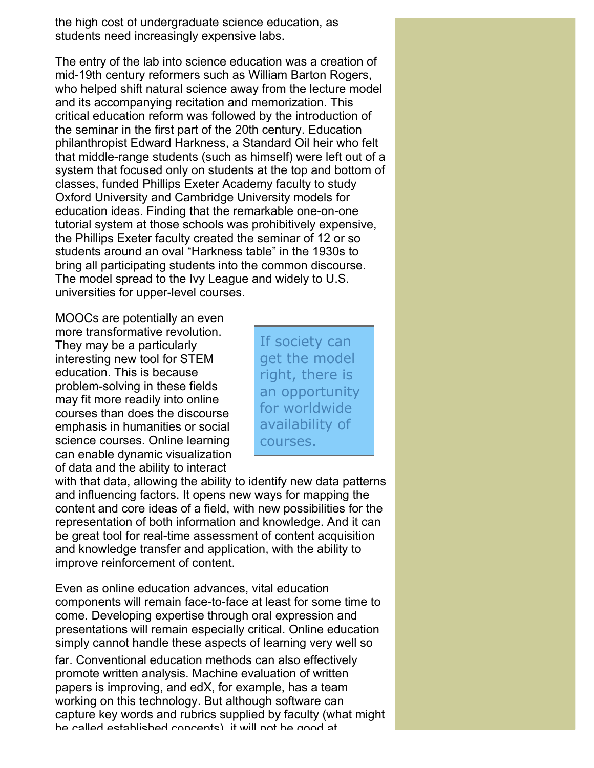the high cost of undergraduate science education, as students need increasingly expensive labs.

The entry of the lab into science education was a creation of mid-19th century reformers such as William Barton Rogers, who helped shift natural science away from the lecture model and its accompanying recitation and memorization. This critical education reform was followed by the introduction of the seminar in the first part of the 20th century. Education philanthropist Edward Harkness, a Standard Oil heir who felt that middle-range students (such as himself) were left out of a system that focused only on students at the top and bottom of classes, funded Phillips Exeter Academy faculty to study Oxford University and Cambridge University models for education ideas. Finding that the remarkable one-on-one tutorial system at those schools was prohibitively expensive, the Phillips Exeter faculty created the seminar of 12 or so students around an oval "Harkness table" in the 1930s to bring all participating students into the common discourse. The model spread to the Ivy League and widely to U.S. universities for upper-level courses.

MOOCs are potentially an even more transformative revolution. They may be a particularly interesting new tool for STEM education. This is because problem-solving in these fields may fit more readily into online courses than does the discourse emphasis in humanities or social science courses. Online learning can enable dynamic visualization of data and the ability to interact

If society can get the model right, there is an opportunity for worldwide availability of courses.

with that data, allowing the ability to identify new data patterns and influencing factors. It opens new ways for mapping the content and core ideas of a field, with new possibilities for the representation of both information and knowledge. And it can be great tool for real-time assessment of content acquisition and knowledge transfer and application, with the ability to improve reinforcement of content.

Even as online education advances, vital education components will remain face-to-face at least for some time to come. Developing expertise through oral expression and presentations will remain especially critical. Online education simply cannot handle these aspects of learning very well so far. Conventional education methods can also effectively promote written analysis. Machine evaluation of written papers is improving, and edX, for example, has a team working on this technology. But although software can capture key words and rubrics supplied by faculty (what might be called established concepts), it will not be good at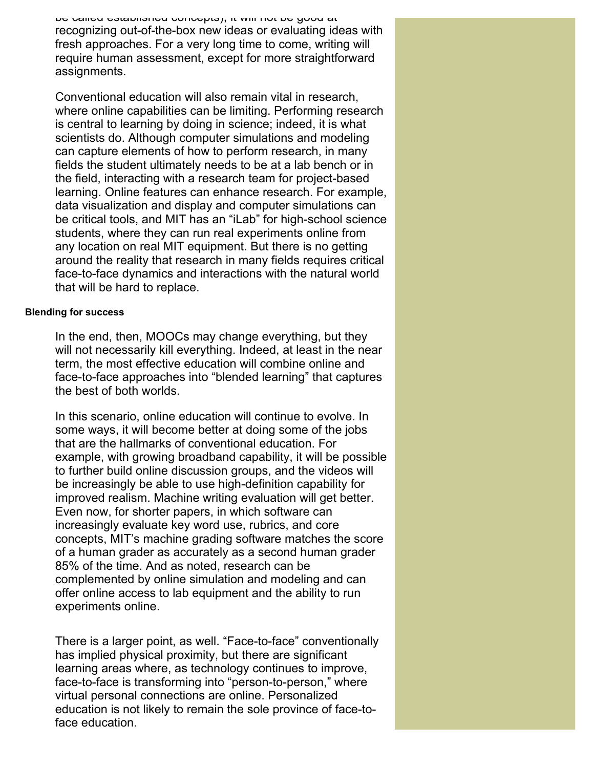be called established concepts), it will not be good at recognizing out-of-the-box new ideas or evaluating ideas with fresh approaches. For a very long time to come, writing will require human assessment, except for more straightforward assignments.

Conventional education will also remain vital in research, where online capabilities can be limiting. Performing research is central to learning by doing in science; indeed, it is what scientists do. Although computer simulations and modeling can capture elements of how to perform research, in many fields the student ultimately needs to be at a lab bench or in the field, interacting with a research team for project-based learning. Online features can enhance research. For example, data visualization and display and computer simulations can be critical tools, and MIT has an "iLab" for high-school science students, where they can run real experiments online from any location on real MIT equipment. But there is no getting around the reality that research in many fields requires critical face-to-face dynamics and interactions with the natural world that will be hard to replace.

# **Blending for success**

In the end, then, MOOCs may change everything, but they will not necessarily kill everything. Indeed, at least in the near term, the most effective education will combine online and face-to-face approaches into "blended learning" that captures the best of both worlds.

In this scenario, online education will continue to evolve. In some ways, it will become better at doing some of the jobs that are the hallmarks of conventional education. For example, with growing broadband capability, it will be possible to further build online discussion groups, and the videos will be increasingly be able to use high-definition capability for improved realism. Machine writing evaluation will get better. Even now, for shorter papers, in which software can increasingly evaluate key word use, rubrics, and core concepts, MIT's machine grading software matches the score of a human grader as accurately as a second human grader 85% of the time. And as noted, research can be complemented by online simulation and modeling and can offer online access to lab equipment and the ability to run experiments online.

There is a larger point, as well. "Face-to-face" conventionally has implied physical proximity, but there are significant learning areas where, as technology continues to improve, face-to-face is transforming into "person-to-person," where virtual personal connections are online. Personalized education is not likely to remain the sole province of face-toface education.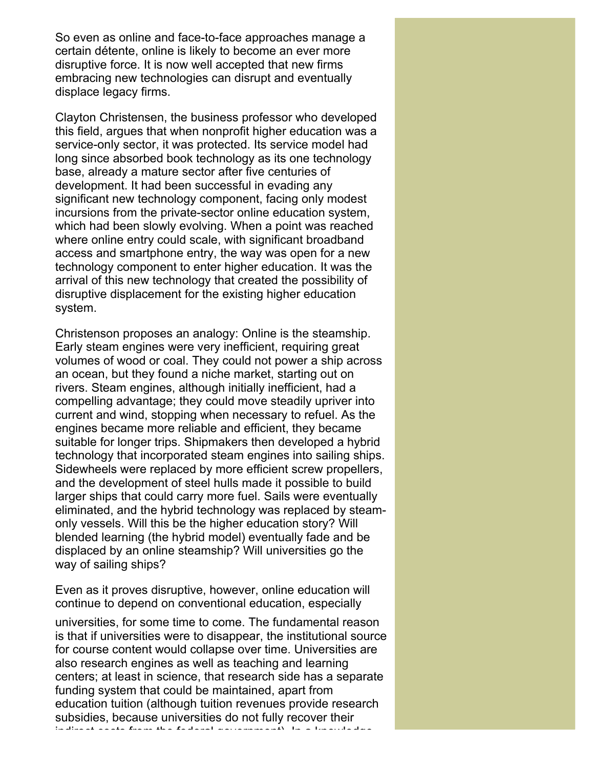So even as online and face-to-face approaches manage a certain détente, online is likely to become an ever more disruptive force. It is now well accepted that new firms embracing new technologies can disrupt and eventually displace legacy firms.

Clayton Christensen, the business professor who developed this field, argues that when nonprofit higher education was a service-only sector, it was protected. Its service model had long since absorbed book technology as its one technology base, already a mature sector after five centuries of development. It had been successful in evading any significant new technology component, facing only modest incursions from the private-sector online education system, which had been slowly evolving. When a point was reached where online entry could scale, with significant broadband access and smartphone entry, the way was open for a new technology component to enter higher education. It was the arrival of this new technology that created the possibility of disruptive displacement for the existing higher education system.

Christenson proposes an analogy: Online is the steamship. Early steam engines were very inefficient, requiring great volumes of wood or coal. They could not power a ship across an ocean, but they found a niche market, starting out on rivers. Steam engines, although initially inefficient, had a compelling advantage; they could move steadily upriver into current and wind, stopping when necessary to refuel. As the engines became more reliable and efficient, they became suitable for longer trips. Shipmakers then developed a hybrid technology that incorporated steam engines into sailing ships. Sidewheels were replaced by more efficient screw propellers, and the development of steel hulls made it possible to build larger ships that could carry more fuel. Sails were eventually eliminated, and the hybrid technology was replaced by steamonly vessels. Will this be the higher education story? Will blended learning (the hybrid model) eventually fade and be displaced by an online steamship? Will universities go the way of sailing ships?

Even as it proves disruptive, however, online education will continue to depend on conventional education, especially

universities, for some time to come. The fundamental reason is that if universities were to disappear, the institutional source for course content would collapse over time. Universities are also research engines as well as teaching and learning centers; at least in science, that research side has a separate funding system that could be maintained, apart from education tuition (although tuition revenues provide research subsidies, because universities do not fully recover their indirect costs from the federal government). In a knowledge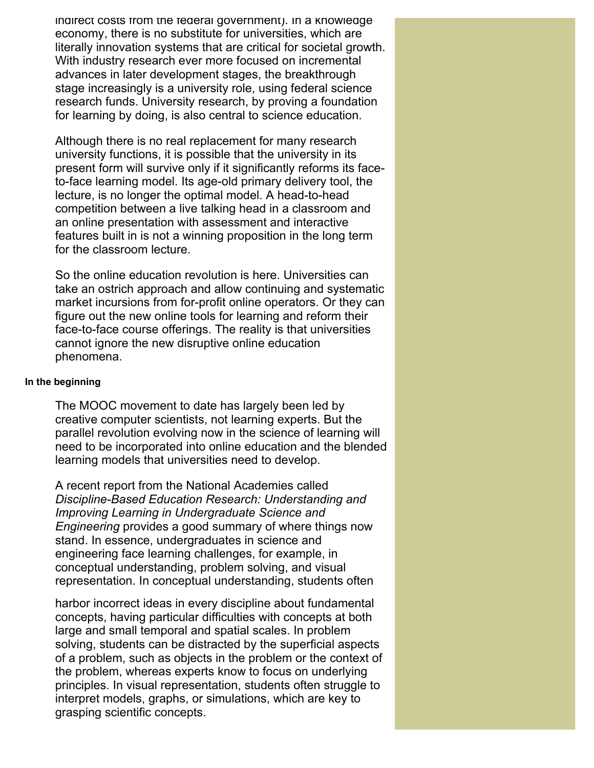indirect costs from the federal government). In a knowledge economy, there is no substitute for universities, which are literally innovation systems that are critical for societal growth. With industry research ever more focused on incremental advances in later development stages, the breakthrough stage increasingly is a university role, using federal science research funds. University research, by proving a foundation for learning by doing, is also central to science education.

Although there is no real replacement for many research university functions, it is possible that the university in its present form will survive only if it significantly reforms its faceto-face learning model. Its age-old primary delivery tool, the lecture, is no longer the optimal model. A head-to-head competition between a live talking head in a classroom and an online presentation with assessment and interactive features built in is not a winning proposition in the long term for the classroom lecture.

So the online education revolution is here. Universities can take an ostrich approach and allow continuing and systematic market incursions from for-profit online operators. Or they can figure out the new online tools for learning and reform their face-to-face course offerings. The reality is that universities cannot ignore the new disruptive online education phenomena.

## **In the beginning**

The MOOC movement to date has largely been led by creative computer scientists, not learning experts. But the parallel revolution evolving now in the science of learning will need to be incorporated into online education and the blended learning models that universities need to develop.

A recent report from the National Academies called *Discipline-Based Education Research: Understanding and Improving Learning in Undergraduate Science and Engineering* provides a good summary of where things now stand. In essence, undergraduates in science and engineering face learning challenges, for example, in conceptual understanding, problem solving, and visual representation. In conceptual understanding, students often

harbor incorrect ideas in every discipline about fundamental concepts, having particular difficulties with concepts at both large and small temporal and spatial scales. In problem solving, students can be distracted by the superficial aspects of a problem, such as objects in the problem or the context of the problem, whereas experts know to focus on underlying principles. In visual representation, students often struggle to interpret models, graphs, or simulations, which are key to grasping scientific concepts.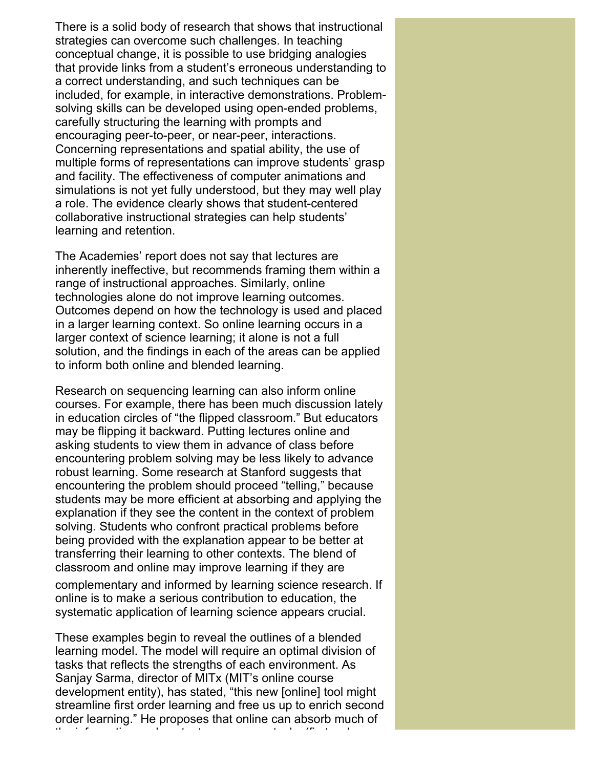There is a solid body of research that shows that instructional strategies can overcome such challenges. In teaching conceptual change, it is possible to use bridging analogies that provide links from a student's erroneous understanding to a correct understanding, and such techniques can be included, for example, in interactive demonstrations. Problemsolving skills can be developed using open-ended problems, carefully structuring the learning with prompts and encouraging peer-to-peer, or near-peer, interactions. Concerning representations and spatial ability, the use of multiple forms of representations can improve students' grasp and facility. The effectiveness of computer animations and simulations is not yet fully understood, but they may well play a role. The evidence clearly shows that student-centered collaborative instructional strategies can help students' learning and retention.

The Academies' report does not say that lectures are inherently ineffective, but recommends framing them within a range of instructional approaches. Similarly, online technologies alone do not improve learning outcomes. Outcomes depend on how the technology is used and placed in a larger learning context. So online learning occurs in a larger context of science learning; it alone is not a full solution, and the findings in each of the areas can be applied to inform both online and blended learning.

Research on sequencing learning can also inform online courses. For example, there has been much discussion lately in education circles of "the flipped classroom." But educators may be flipping it backward. Putting lectures online and asking students to view them in advance of class before encountering problem solving may be less likely to advance robust learning. Some research at Stanford suggests that encountering the problem should proceed "telling," because students may be more efficient at absorbing and applying the explanation if they see the content in the context of problem solving. Students who confront practical problems before being provided with the explanation appear to be better at transferring their learning to other contexts. The blend of classroom and online may improve learning if they are

complementary and informed by learning science research. If online is to make a serious contribution to education, the systematic application of learning science appears crucial.

These examples begin to reveal the outlines of a blended learning model. The model will require an optimal division of tasks that reflects the strengths of each environment. As Sanjay Sarma, director of MITx (MIT's online course development entity), has stated, "this new [online] tool might streamline first order learning and free us up to enrich second order learning." He proposes that online can absorb much of the information and content-conveyance tasks (first-order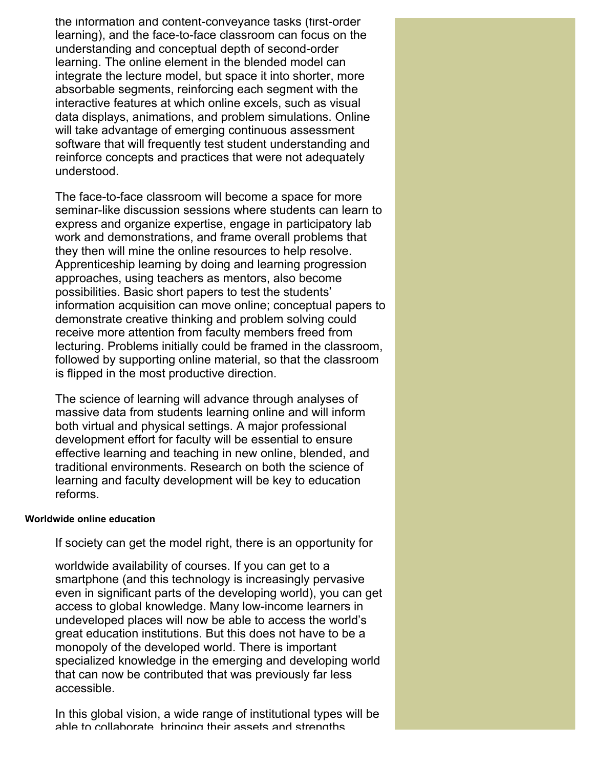the information and content-conveyance tasks (first-order learning), and the face-to-face classroom can focus on the understanding and conceptual depth of second-order learning. The online element in the blended model can integrate the lecture model, but space it into shorter, more absorbable segments, reinforcing each segment with the interactive features at which online excels, such as visual data displays, animations, and problem simulations. Online will take advantage of emerging continuous assessment software that will frequently test student understanding and reinforce concepts and practices that were not adequately understood.

The face-to-face classroom will become a space for more seminar-like discussion sessions where students can learn to express and organize expertise, engage in participatory lab work and demonstrations, and frame overall problems that they then will mine the online resources to help resolve. Apprenticeship learning by doing and learning progression approaches, using teachers as mentors, also become possibilities. Basic short papers to test the students' information acquisition can move online; conceptual papers to demonstrate creative thinking and problem solving could receive more attention from faculty members freed from lecturing. Problems initially could be framed in the classroom, followed by supporting online material, so that the classroom is flipped in the most productive direction.

The science of learning will advance through analyses of massive data from students learning online and will inform both virtual and physical settings. A major professional development effort for faculty will be essential to ensure effective learning and teaching in new online, blended, and traditional environments. Research on both the science of learning and faculty development will be key to education reforms.

### **Worldwide online education**

If society can get the model right, there is an opportunity for

worldwide availability of courses. If you can get to a smartphone (and this technology is increasingly pervasive even in significant parts of the developing world), you can get access to global knowledge. Many low-income learners in undeveloped places will now be able to access the world's great education institutions. But this does not have to be a monopoly of the developed world. There is important specialized knowledge in the emerging and developing world that can now be contributed that was previously far less accessible.

In this global vision, a wide range of institutional types will be able to collaborate, bringing their assets and strengths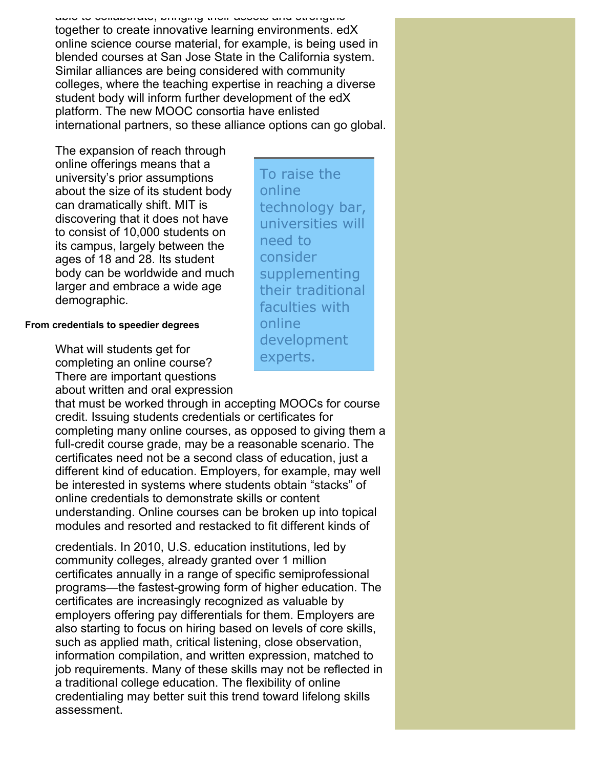able to collaborate, bringing their assets and strengths together to create innovative learning environments. edX online science course material, for example, is being used in blended courses at San Jose State in the California system. Similar alliances are being considered with community colleges, where the teaching expertise in reaching a diverse student body will inform further development of the edX platform. The new MOOC consortia have enlisted international partners, so these alliance options can go global.

The expansion of reach through online offerings means that a university's prior assumptions about the size of its student body can dramatically shift. MIT is discovering that it does not have to consist of 10,000 students on its campus, largely between the ages of 18 and 28. Its student body can be worldwide and much larger and embrace a wide age demographic.

# **From credentials to speedier degrees**

What will students get for completing an online course? There are important questions about written and oral expression

that must be worked through in accepting MOOCs for course credit. Issuing students credentials or certificates for completing many online courses, as opposed to giving them a full-credit course grade, may be a reasonable scenario. The certificates need not be a second class of education, just a different kind of education. Employers, for example, may well be interested in systems where students obtain "stacks" of online credentials to demonstrate skills or content understanding. Online courses can be broken up into topical modules and resorted and restacked to fit different kinds of

credentials. In 2010, U.S. education institutions, led by community colleges, already granted over 1 million certificates annually in a range of specific semiprofessional programs—the fastest-growing form of higher education. The certificates are increasingly recognized as valuable by employers offering pay differentials for them. Employers are also starting to focus on hiring based on levels of core skills, such as applied math, critical listening, close observation, information compilation, and written expression, matched to job requirements. Many of these skills may not be reflected in a traditional college education. The flexibility of online credentialing may better suit this trend toward lifelong skills assessment.

To raise the online technology bar, universities will need to consider supplementing their traditional faculties with online development experts.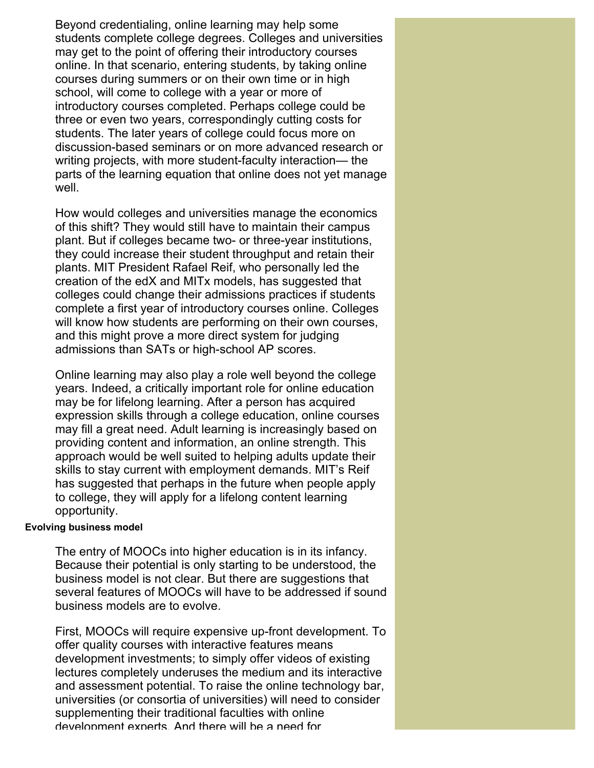Beyond credentialing, online learning may help some students complete college degrees. Colleges and universities may get to the point of offering their introductory courses online. In that scenario, entering students, by taking online courses during summers or on their own time or in high school, will come to college with a year or more of introductory courses completed. Perhaps college could be three or even two years, correspondingly cutting costs for students. The later years of college could focus more on discussion-based seminars or on more advanced research or writing projects, with more student-faculty interaction— the parts of the learning equation that online does not yet manage well.

How would colleges and universities manage the economics of this shift? They would still have to maintain their campus plant. But if colleges became two- or three-year institutions, they could increase their student throughput and retain their plants. MIT President Rafael Reif, who personally led the creation of the edX and MITx models, has suggested that colleges could change their admissions practices if students complete a first year of introductory courses online. Colleges will know how students are performing on their own courses, and this might prove a more direct system for judging admissions than SATs or high-school AP scores.

Online learning may also play a role well beyond the college years. Indeed, a critically important role for online education may be for lifelong learning. After a person has acquired expression skills through a college education, online courses may fill a great need. Adult learning is increasingly based on providing content and information, an online strength. This approach would be well suited to helping adults update their skills to stay current with employment demands. MIT's Reif has suggested that perhaps in the future when people apply to college, they will apply for a lifelong content learning opportunity.

# **Evolving business model**

The entry of MOOCs into higher education is in its infancy. Because their potential is only starting to be understood, the business model is not clear. But there are suggestions that several features of MOOCs will have to be addressed if sound business models are to evolve.

First, MOOCs will require expensive up-front development. To offer quality courses with interactive features means development investments; to simply offer videos of existing lectures completely underuses the medium and its interactive and assessment potential. To raise the online technology bar, universities (or consortia of universities) will need to consider supplementing their traditional faculties with online development experts. And there will be a need for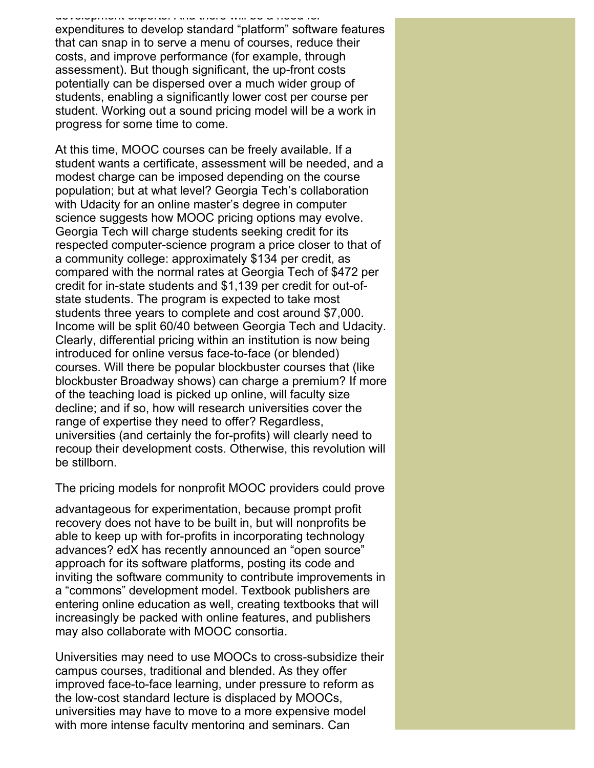#### development experts. And there will be a need for

expenditures to develop standard "platform" software features that can snap in to serve a menu of courses, reduce their costs, and improve performance (for example, through assessment). But though significant, the up-front costs potentially can be dispersed over a much wider group of students, enabling a significantly lower cost per course per student. Working out a sound pricing model will be a work in progress for some time to come.

At this time, MOOC courses can be freely available. If a student wants a certificate, assessment will be needed, and a modest charge can be imposed depending on the course population; but at what level? Georgia Tech's collaboration with Udacity for an online master's degree in computer science suggests how MOOC pricing options may evolve. Georgia Tech will charge students seeking credit for its respected computer-science program a price closer to that of a community college: approximately \$134 per credit, as compared with the normal rates at Georgia Tech of \$472 per credit for in-state students and \$1,139 per credit for out-ofstate students. The program is expected to take most students three years to complete and cost around \$7,000. Income will be split 60/40 between Georgia Tech and Udacity. Clearly, differential pricing within an institution is now being introduced for online versus face-to-face (or blended) courses. Will there be popular blockbuster courses that (like blockbuster Broadway shows) can charge a premium? If more of the teaching load is picked up online, will faculty size decline; and if so, how will research universities cover the range of expertise they need to offer? Regardless, universities (and certainly the for-profits) will clearly need to recoup their development costs. Otherwise, this revolution will be stillborn.

The pricing models for nonprofit MOOC providers could prove

advantageous for experimentation, because prompt profit recovery does not have to be built in, but will nonprofits be able to keep up with for-profits in incorporating technology advances? edX has recently announced an "open source" approach for its software platforms, posting its code and inviting the software community to contribute improvements in a "commons" development model. Textbook publishers are entering online education as well, creating textbooks that will increasingly be packed with online features, and publishers may also collaborate with MOOC consortia.

Universities may need to use MOOCs to cross-subsidize their campus courses, traditional and blended. As they offer improved face-to-face learning, under pressure to reform as the low-cost standard lecture is displaced by MOOCs, universities may have to move to a more expensive model with more intense faculty mentoring and seminars. Can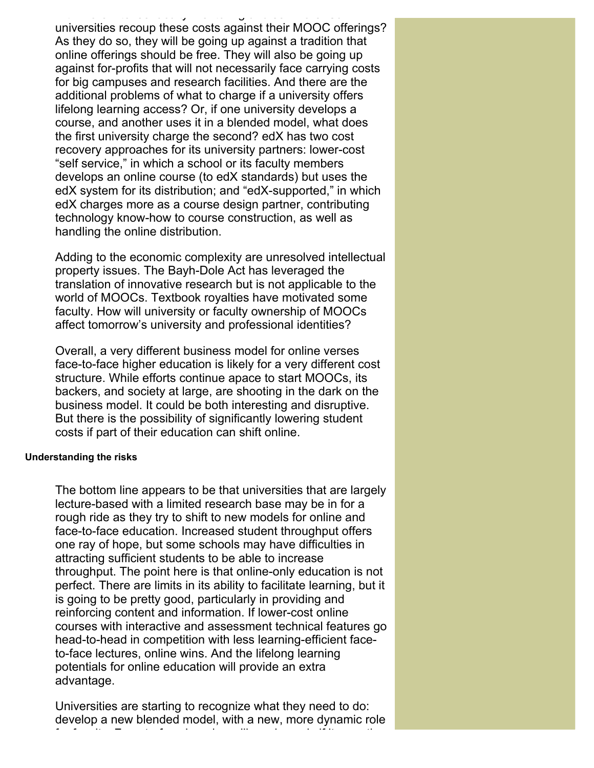with more intense faculty mentoring and seminars. Can universities recoup these costs against their MOOC offerings? As they do so, they will be going up against a tradition that online offerings should be free. They will also be going up against for-profits that will not necessarily face carrying costs for big campuses and research facilities. And there are the additional problems of what to charge if a university offers lifelong learning access? Or, if one university develops a course, and another uses it in a blended model, what does the first university charge the second? edX has two cost recovery approaches for its university partners: lower-cost "self service," in which a school or its faculty members develops an online course (to edX standards) but uses the edX system for its distribution; and "edX-supported," in which edX charges more as a course design partner, contributing technology know-how to course construction, as well as handling the online distribution.

Adding to the economic complexity are unresolved intellectual property issues. The Bayh-Dole Act has leveraged the translation of innovative research but is not applicable to the world of MOOCs. Textbook royalties have motivated some faculty. How will university or faculty ownership of MOOCs affect tomorrow's university and professional identities?

Overall, a very different business model for online verses face-to-face higher education is likely for a very different cost structure. While efforts continue apace to start MOOCs, its backers, and society at large, are shooting in the dark on the business model. It could be both interesting and disruptive. But there is the possibility of significantly lowering student costs if part of their education can shift online.

### **Understanding the risks**

The bottom line appears to be that universities that are largely lecture-based with a limited research base may be in for a rough ride as they try to shift to new models for online and face-to-face education. Increased student throughput offers one ray of hope, but some schools may have difficulties in attracting sufficient students to be able to increase throughput. The point here is that online-only education is not perfect. There are limits in its ability to facilitate learning, but it is going to be pretty good, particularly in providing and reinforcing content and information. If lower-cost online courses with interactive and assessment technical features go head-to-head in competition with less learning-efficient faceto-face lectures, online wins. And the lifelong learning potentials for online education will provide an extra advantage.

Universities are starting to recognize what they need to do: develop a new blended model, with a new, more dynamic role for faculty. Face-to-face learning will survive only if it uses the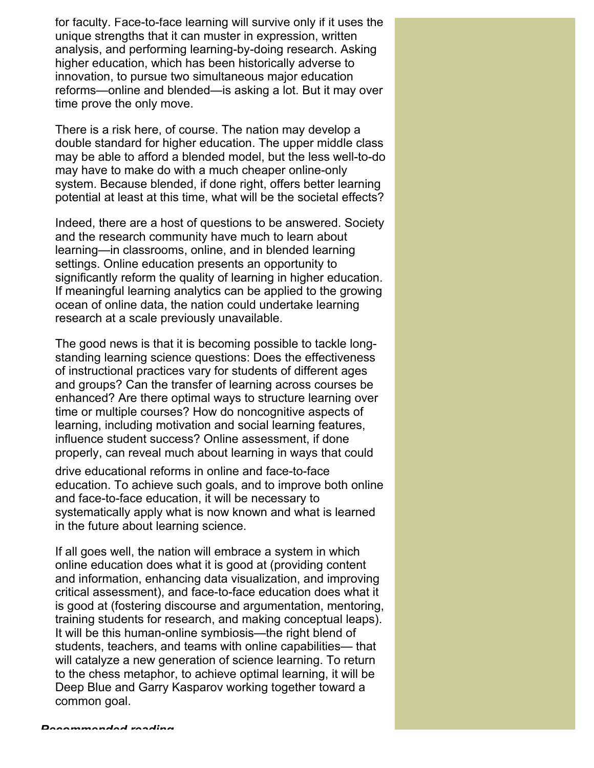for faculty. Face-to-face learning will survive only if it uses the unique strengths that it can muster in expression, written analysis, and performing learning-by-doing research. Asking higher education, which has been historically adverse to innovation, to pursue two simultaneous major education reforms—online and blended—is asking a lot. But it may over time prove the only move.

There is a risk here, of course. The nation may develop a double standard for higher education. The upper middle class may be able to afford a blended model, but the less well-to-do may have to make do with a much cheaper online-only system. Because blended, if done right, offers better learning potential at least at this time, what will be the societal effects?

Indeed, there are a host of questions to be answered. Society and the research community have much to learn about learning—in classrooms, online, and in blended learning settings. Online education presents an opportunity to significantly reform the quality of learning in higher education. If meaningful learning analytics can be applied to the growing ocean of online data, the nation could undertake learning research at a scale previously unavailable.

The good news is that it is becoming possible to tackle longstanding learning science questions: Does the effectiveness of instructional practices vary for students of different ages and groups? Can the transfer of learning across courses be enhanced? Are there optimal ways to structure learning over time or multiple courses? How do noncognitive aspects of learning, including motivation and social learning features, influence student success? Online assessment, if done properly, can reveal much about learning in ways that could

drive educational reforms in online and face-to-face education. To achieve such goals, and to improve both online and face-to-face education, it will be necessary to systematically apply what is now known and what is learned in the future about learning science.

If all goes well, the nation will embrace a system in which online education does what it is good at (providing content and information, enhancing data visualization, and improving critical assessment), and face-to-face education does what it is good at (fostering discourse and argumentation, mentoring, training students for research, and making conceptual leaps). It will be this human-online symbiosis—the right blend of students, teachers, and teams with online capabilities— that will catalyze a new generation of science learning. To return to the chess metaphor, to achieve optimal learning, it will be Deep Blue and Garry Kasparov working together toward a common goal.